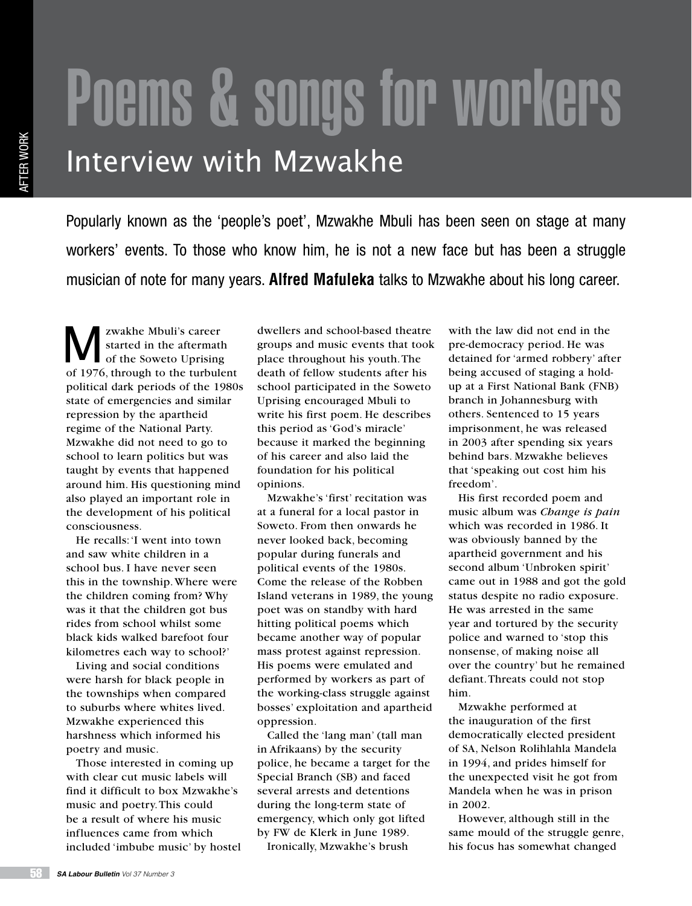## Poems & songs for workers Interview with Mzwakhe

Popularly known as the 'people's poet', Mzwakhe Mbuli has been seen on stage at many workers' events. To those who know him, he is not a new face but has been a struggle musician of note for many years. **Alfred Mafuleka** talks to Mzwakhe about his long career.

We zwakhe Mbuli's career<br>
started in the aftermath<br>
of the Soweto Uprising<br>
of 1076 through to the turbule started in the aftermath of 1976, through to the turbulent political dark periods of the 1980s state of emergencies and similar repression by the apartheid regime of the National Party. Mzwakhe did not need to go to school to learn politics but was taught by events that happened around him. His questioning mind also played an important role in the development of his political consciousness.

He recalls: 'I went into town and saw white children in a school bus. I have never seen this in the township. Where were the children coming from? Why was it that the children got bus rides from school whilst some black kids walked barefoot four kilometres each way to school?'

Living and social conditions were harsh for black people in the townships when compared to suburbs where whites lived. Mzwakhe experienced this harshness which informed his poetry and music.

Those interested in coming up with clear cut music labels will find it difficult to box Mzwakhe's music and poetry. This could be a result of where his music influences came from which included 'imbube music' by hostel

dwellers and school-based theatre groups and music events that took place throughout his youth. The death of fellow students after his school participated in the Soweto Uprising encouraged Mbuli to write his first poem. He describes this period as 'God's miracle' because it marked the beginning of his career and also laid the foundation for his political opinions.

Mzwakhe's 'first' recitation was at a funeral for a local pastor in Soweto. From then onwards he never looked back, becoming popular during funerals and political events of the 1980s. Come the release of the Robben Island veterans in 1989, the young poet was on standby with hard hitting political poems which became another way of popular mass protest against repression. His poems were emulated and performed by workers as part of the working-class struggle against bosses' exploitation and apartheid oppression.

Called the 'lang man' (tall man in Afrikaans) by the security police, he became a target for the Special Branch (SB) and faced several arrests and detentions during the long-term state of emergency, which only got lifted by FW de Klerk in June 1989.

Ironically, Mzwakhe's brush

with the law did not end in the pre-democracy period. He was detained for 'armed robbery' after being accused of staging a holdup at a First National Bank (FNB) branch in Johannesburg with others. Sentenced to 15 years imprisonment, he was released in 2003 after spending six years behind bars. Mzwakhe believes that 'speaking out cost him his freedom'.

His first recorded poem and music album was *Change is pain* which was recorded in 1986. It was obviously banned by the apartheid government and his second album 'Unbroken spirit' came out in 1988 and got the gold status despite no radio exposure. He was arrested in the same year and tortured by the security police and warned to 'stop this nonsense, of making noise all over the country' but he remained defiant. Threats could not stop him.

Mzwakhe performed at the inauguration of the first democratically elected president of SA, Nelson Rolihlahla Mandela in 1994, and prides himself for the unexpected visit he got from Mandela when he was in prison in 2002.

However, although still in the same mould of the struggle genre, his focus has somewhat changed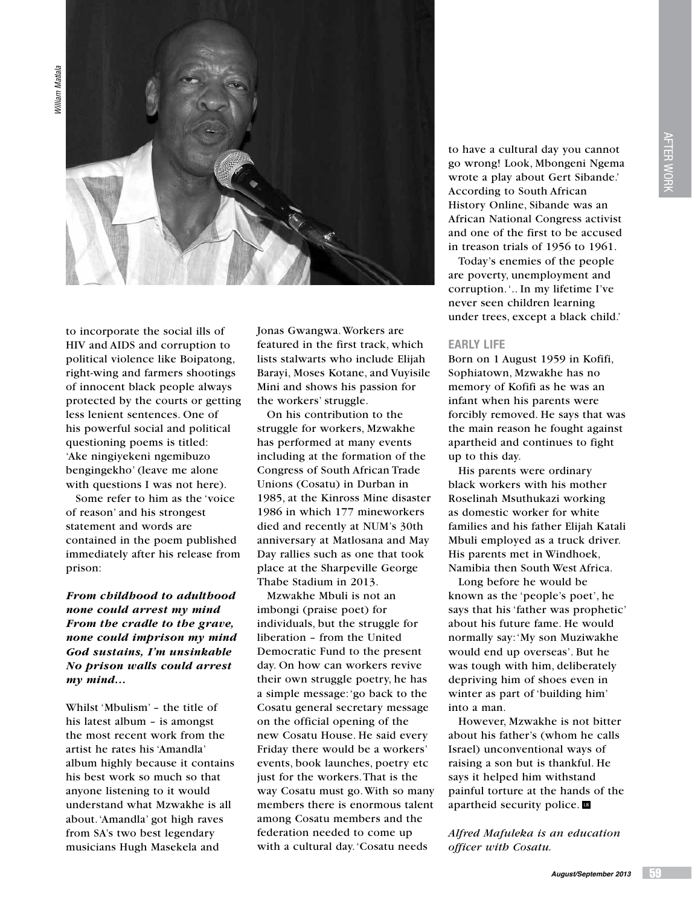

to incorporate the social ills of HIV and AIDS and corruption to political violence like Boipatong, right-wing and farmers shootings of innocent black people always protected by the courts or getting less lenient sentences. One of his powerful social and political questioning poems is titled: 'Ake ningiyekeni ngemibuzo bengingekho' (leave me alone with questions I was not here).

Some refer to him as the 'voice of reason' and his strongest statement and words are contained in the poem published immediately after his release from prison:

## *From childhood to adulthood none could arrest my mind From the cradle to the grave, none could imprison my mind God sustains, I'm unsinkable No prison walls could arrest my mind…*

Whilst 'Mbulism' – the title of his latest album – is amongst the most recent work from the artist he rates his 'Amandla' album highly because it contains his best work so much so that anyone listening to it would understand what Mzwakhe is all about. 'Amandla' got high raves from SA's two best legendary musicians Hugh Masekela and

Jonas Gwangwa. Workers are featured in the first track, which lists stalwarts who include Elijah Barayi, Moses Kotane, and Vuyisile Mini and shows his passion for the workers' struggle.

On his contribution to the struggle for workers, Mzwakhe has performed at many events including at the formation of the Congress of South African Trade Unions (Cosatu) in Durban in 1985, at the Kinross Mine disaster 1986 in which 177 mineworkers died and recently at NUM's 30th anniversary at Matlosana and May Day rallies such as one that took place at the Sharpeville George Thabe Stadium in 2013.

Mzwakhe Mbuli is not an imbongi (praise poet) for individuals, but the struggle for liberation – from the United Democratic Fund to the present day. On how can workers revive their own struggle poetry, he has a simple message: 'go back to the Cosatu general secretary message on the official opening of the new Cosatu House. He said every Friday there would be a workers' events, book launches, poetry etc just for the workers. That is the way Cosatu must go. With so many members there is enormous talent among Cosatu members and the federation needed to come up with a cultural day. 'Cosatu needs

to have a cultural day you cannot go wrong! Look, Mbongeni Ngema wrote a play about Gert Sibande.' According to South African History Online, Sibande was an African National Congress activist and one of the first to be accused in treason trials of 1956 to 1961.

Today's enemies of the people are poverty, unemployment and corruption. '.. In my lifetime I've never seen children learning under trees, except a black child.'

## **Early life**

Born on 1 August 1959 in Kofifi, Sophiatown, Mzwakhe has no memory of Kofifi as he was an infant when his parents were forcibly removed. He says that was the main reason he fought against apartheid and continues to fight up to this day.

His parents were ordinary black workers with his mother Roselinah Msuthukazi working as domestic worker for white families and his father Elijah Katali Mbuli employed as a truck driver. His parents met in Windhoek, Namibia then South West Africa.

Long before he would be known as the 'people's poet', he says that his 'father was prophetic' about his future fame. He would normally say: 'My son Muziwakhe would end up overseas'. But he was tough with him, deliberately depriving him of shoes even in winter as part of 'building him' into a man.

However, Mzwakhe is not bitter about his father's (whom he calls Israel) unconventional ways of raising a son but is thankful. He says it helped him withstand painful torture at the hands of the apartheid security police.

*Alfred Mafuleka is an education officer with Cosatu.*